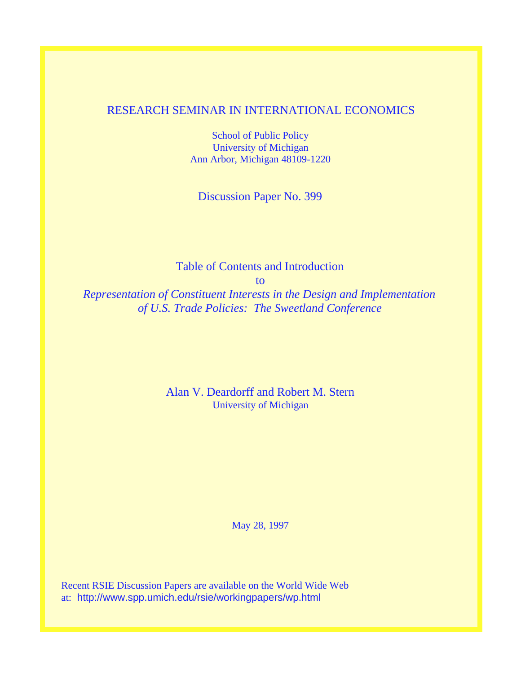# RESEARCH SEMINAR IN INTERNATIONAL ECONOMICS

School of Public Policy University of Michigan Ann Arbor, Michigan 48109-1220

Discussion Paper No. 399

Table of Contents and Introduction

to

*Representation of Constituent Interests in the Design and Implementation of U.S. Trade Policies: The Sweetland Conference*

> Alan V. Deardorff and Robert M. Stern University of Michigan

> > May 28, 1997

Recent RSIE Discussion Papers are available on the World Wide Web at: http://www.spp.umich.edu/rsie/workingpapers/wp.html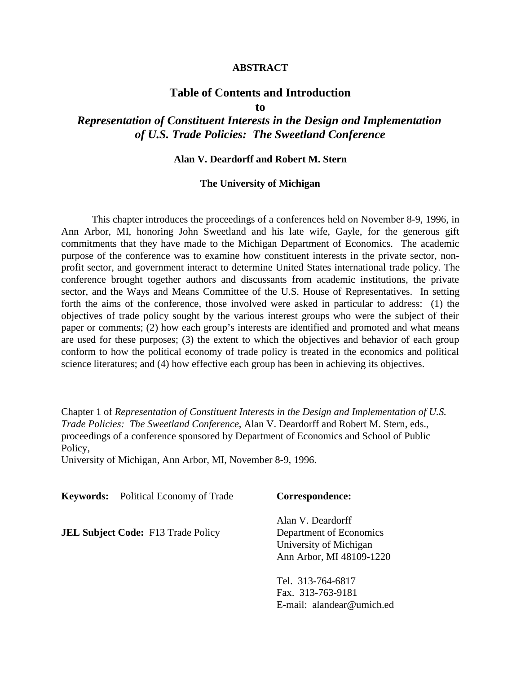#### **ABSTRACT**

## **Table of Contents and Introduction**

**to**

## *Representation of Constituent Interests in the Design and Implementation of U.S. Trade Policies: The Sweetland Conference*

## **Alan V. Deardorff and Robert M. Stern**

## **The University of Michigan**

This chapter introduces the proceedings of a conferences held on November 8-9, 1996, in Ann Arbor, MI, honoring John Sweetland and his late wife, Gayle, for the generous gift commitments that they have made to the Michigan Department of Economics. The academic purpose of the conference was to examine how constituent interests in the private sector, nonprofit sector, and government interact to determine United States international trade policy. The conference brought together authors and discussants from academic institutions, the private sector, and the Ways and Means Committee of the U.S. House of Representatives. In setting forth the aims of the conference, those involved were asked in particular to address: (1) the objectives of trade policy sought by the various interest groups who were the subject of their paper or comments; (2) how each group's interests are identified and promoted and what means are used for these purposes; (3) the extent to which the objectives and behavior of each group conform to how the political economy of trade policy is treated in the economics and political science literatures; and (4) how effective each group has been in achieving its objectives.

Chapter 1 of *Representation of Constituent Interests in the Design and Implementation of U.S. Trade Policies: The Sweetland Conference*, Alan V. Deardorff and Robert M. Stern, eds., proceedings of a conference sponsored by Department of Economics and School of Public Policy,

University of Michigan, Ann Arbor, MI, November 8-9, 1996.

| <b>Keywords:</b> Political Economy of Trade | Correspondence:                              |
|---------------------------------------------|----------------------------------------------|
| <b>JEL Subject Code: F13 Trade Policy</b>   | Alan V. Deardorff<br>Department of Economics |
|                                             | University of Michigan                       |
|                                             | Ann Arbor, MI 48109-1220                     |
|                                             | Tel. 313-764-6817                            |
|                                             | Fax. 313-763-9181                            |
|                                             | E-mail: alandear@umich.ed                    |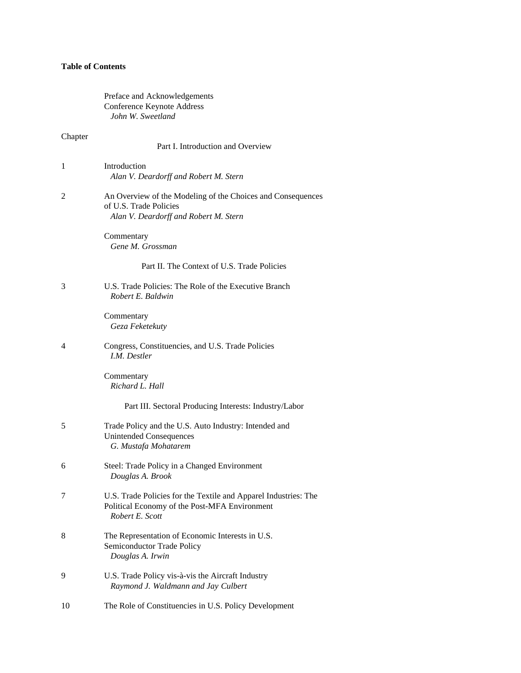#### **Table of Contents**

Preface and Acknowledgements Conference Keynote Address *John W. Sweetland*

#### Chapter

Part I. Introduction and Overview

|   | Introduction<br>Alan V. Deardorff and Robert M. Stern                                 |  |
|---|---------------------------------------------------------------------------------------|--|
| ◠ | $\Lambda$ as $\Omega$ considering of the $\Lambda$ of algebra $\Lambda$ that $\Omega$ |  |

2 An Overview of the Modeling of the Choices and Consequences of U.S. Trade Policies *Alan V. Deardorff and Robert M. Stern*

> Commentary *Gene M. Grossman*

> > Part II. The Context of U.S. Trade Policies

| U.S. Trade Policies: The Role of the Executive Branch |
|-------------------------------------------------------|
| Robert E. Baldwin                                     |

Commentary *Geza Feketekuty*

4 Congress, Constituencies, and U.S. Trade Policies *I.M. Destler*

> Commentary *Richard L. Hall*

> > Part III. Sectoral Producing Interests: Industry/Labor

|  | Trade Policy and the U.S. Auto Industry: Intended and |
|--|-------------------------------------------------------|
|  | Unintended Consequences                               |
|  | G. Mustafa Mohatarem                                  |

- 6 Steel: Trade Policy in a Changed Environment *Douglas A. Brook*
- 7 U.S. Trade Policies for the Textile and Apparel Industries: The Political Economy of the Post-MFA Environment *Robert E. Scott*
- 8 The Representation of Economic Interests in U.S. Semiconductor Trade Policy *Douglas A. Irwin*
- 9 U.S. Trade Policy vis-à-vis the Aircraft Industry *Raymond J. Waldmann and Jay Culbert*
- 10 The Role of Constituencies in U.S. Policy Development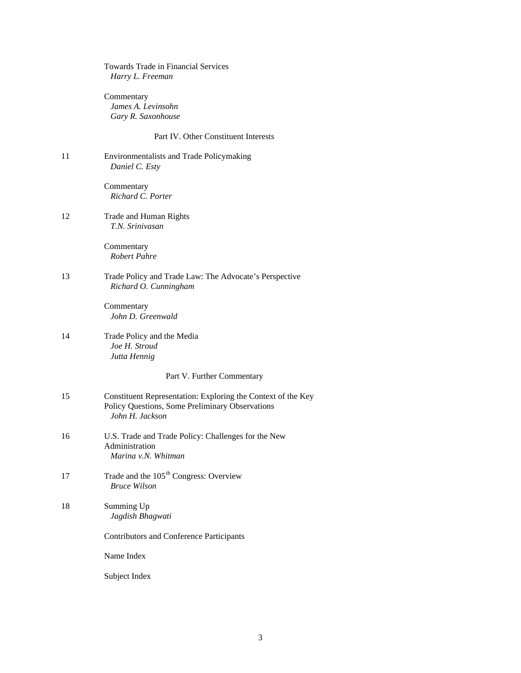Towards Trade in Financial Services *Harry L. Freeman*

Commentary *James A. Levinsohn Gary R. Saxonhouse*

## Part IV. Other Constituent Interests

| 11 | Environmentalists and Trade Policymaking |
|----|------------------------------------------|
|    | Daniel C. Esty                           |

**Commentary** *Richard C. Porter*

12 Trade and Human Rights *T.N. Srinivasan*

> Commentary *Robert Pahre*

## 13 Trade Policy and Trade Law: The Advocate's Perspective *Richard O. Cunningham*

**Commentary** *John D. Greenwald*

14 Trade Policy and the Media *Joe H. Stroud Jutta Hennig*

#### Part V. Further Commentary

| 15 | Constituent Representation: Exploring the Context of the Key |
|----|--------------------------------------------------------------|
|    | Policy Questions, Some Preliminary Observations              |
|    | John H. Jackson                                              |

- 16 U.S. Trade and Trade Policy: Challenges for the New Administration *Marina v.N. Whitman*
- 17 Trade and the 105<sup>th</sup> Congress: Overview *Bruce Wilson*
- 18 Summing Up *Jagdish Bhagwati*

Contributors and Conference Participants

Name Index

Subject Index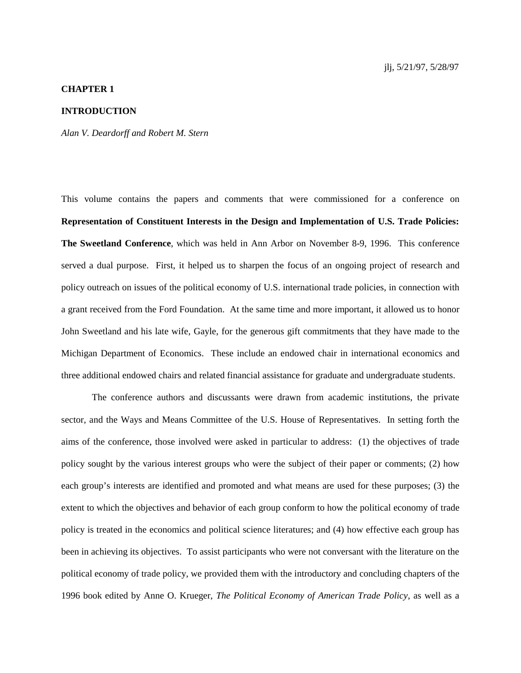## **CHAPTER 1**

#### **INTRODUCTION**

*Alan V. Deardorff and Robert M. Stern*

This volume contains the papers and comments that were commissioned for a conference on **Representation of Constituent Interests in the Design and Implementation of U.S. Trade Policies: The Sweetland Conference**, which was held in Ann Arbor on November 8-9, 1996. This conference served a dual purpose. First, it helped us to sharpen the focus of an ongoing project of research and policy outreach on issues of the political economy of U.S. international trade policies, in connection with a grant received from the Ford Foundation. At the same time and more important, it allowed us to honor John Sweetland and his late wife, Gayle, for the generous gift commitments that they have made to the Michigan Department of Economics. These include an endowed chair in international economics and three additional endowed chairs and related financial assistance for graduate and undergraduate students.

The conference authors and discussants were drawn from academic institutions, the private sector, and the Ways and Means Committee of the U.S. House of Representatives. In setting forth the aims of the conference, those involved were asked in particular to address: (1) the objectives of trade policy sought by the various interest groups who were the subject of their paper or comments; (2) how each group's interests are identified and promoted and what means are used for these purposes; (3) the extent to which the objectives and behavior of each group conform to how the political economy of trade policy is treated in the economics and political science literatures; and (4) how effective each group has been in achieving its objectives. To assist participants who were not conversant with the literature on the political economy of trade policy, we provided them with the introductory and concluding chapters of the 1996 book edited by Anne O. Krueger, *The Political Economy of American Trade Policy*, as well as a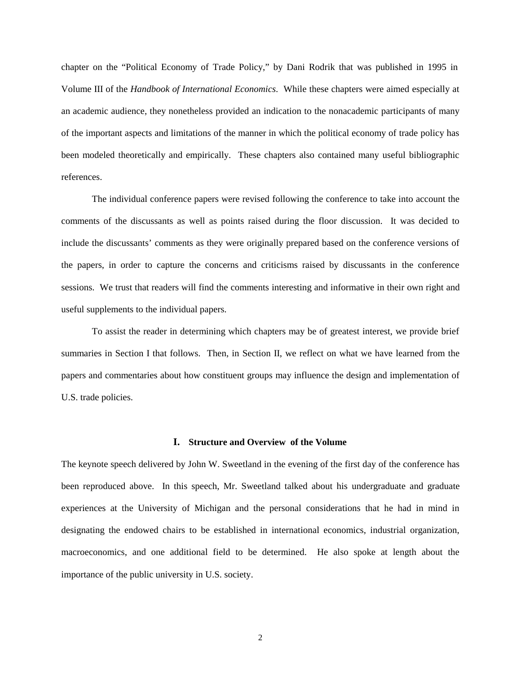chapter on the "Political Economy of Trade Policy," by Dani Rodrik that was published in 1995 in Volume III of the *Handbook of International Economics*. While these chapters were aimed especially at an academic audience, they nonetheless provided an indication to the nonacademic participants of many of the important aspects and limitations of the manner in which the political economy of trade policy has been modeled theoretically and empirically. These chapters also contained many useful bibliographic references.

The individual conference papers were revised following the conference to take into account the comments of the discussants as well as points raised during the floor discussion. It was decided to include the discussants' comments as they were originally prepared based on the conference versions of the papers, in order to capture the concerns and criticisms raised by discussants in the conference sessions. We trust that readers will find the comments interesting and informative in their own right and useful supplements to the individual papers.

To assist the reader in determining which chapters may be of greatest interest, we provide brief summaries in Section I that follows. Then, in Section II, we reflect on what we have learned from the papers and commentaries about how constituent groups may influence the design and implementation of U.S. trade policies.

#### **I. Structure and Overview of the Volume**

The keynote speech delivered by John W. Sweetland in the evening of the first day of the conference has been reproduced above. In this speech, Mr. Sweetland talked about his undergraduate and graduate experiences at the University of Michigan and the personal considerations that he had in mind in designating the endowed chairs to be established in international economics, industrial organization, macroeconomics, and one additional field to be determined. He also spoke at length about the importance of the public university in U.S. society.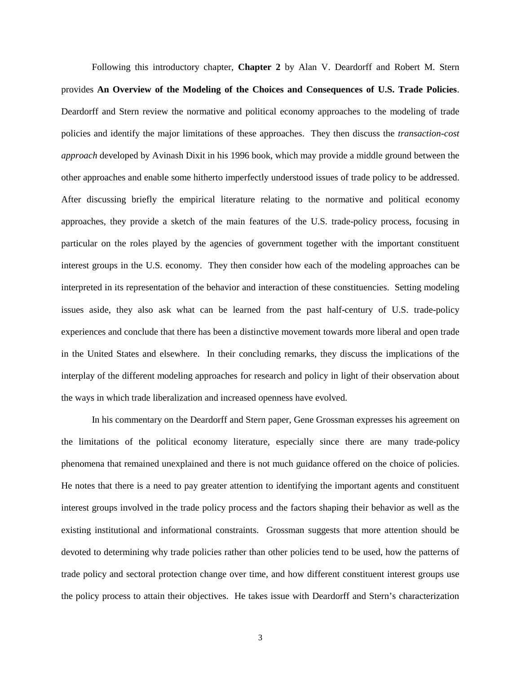Following this introductory chapter, **Chapter 2** by Alan V. Deardorff and Robert M. Stern provides **An Overview of the Modeling of the Choices and Consequences of U.S. Trade Policies**. Deardorff and Stern review the normative and political economy approaches to the modeling of trade policies and identify the major limitations of these approaches. They then discuss the *transaction-cost approach* developed by Avinash Dixit in his 1996 book, which may provide a middle ground between the other approaches and enable some hitherto imperfectly understood issues of trade policy to be addressed. After discussing briefly the empirical literature relating to the normative and political economy approaches, they provide a sketch of the main features of the U.S. trade-policy process, focusing in particular on the roles played by the agencies of government together with the important constituent interest groups in the U.S. economy. They then consider how each of the modeling approaches can be interpreted in its representation of the behavior and interaction of these constituencies. Setting modeling issues aside, they also ask what can be learned from the past half-century of U.S. trade-policy experiences and conclude that there has been a distinctive movement towards more liberal and open trade in the United States and elsewhere. In their concluding remarks, they discuss the implications of the interplay of the different modeling approaches for research and policy in light of their observation about the ways in which trade liberalization and increased openness have evolved.

In his commentary on the Deardorff and Stern paper, Gene Grossman expresses his agreement on the limitations of the political economy literature, especially since there are many trade-policy phenomena that remained unexplained and there is not much guidance offered on the choice of policies. He notes that there is a need to pay greater attention to identifying the important agents and constituent interest groups involved in the trade policy process and the factors shaping their behavior as well as the existing institutional and informational constraints. Grossman suggests that more attention should be devoted to determining why trade policies rather than other policies tend to be used, how the patterns of trade policy and sectoral protection change over time, and how different constituent interest groups use the policy process to attain their objectives. He takes issue with Deardorff and Stern's characterization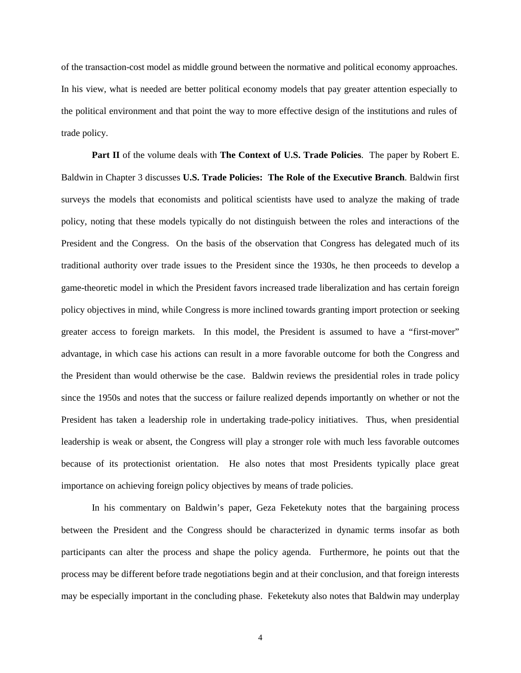of the transaction-cost model as middle ground between the normative and political economy approaches. In his view, what is needed are better political economy models that pay greater attention especially to the political environment and that point the way to more effective design of the institutions and rules of trade policy.

**Part II** of the volume deals with **The Context of U.S. Trade Policies**. The paper by Robert E. Baldwin in Chapter 3 discusses **U.S. Trade Policies: The Role of the Executive Branch**. Baldwin first surveys the models that economists and political scientists have used to analyze the making of trade policy, noting that these models typically do not distinguish between the roles and interactions of the President and the Congress. On the basis of the observation that Congress has delegated much of its traditional authority over trade issues to the President since the 1930s, he then proceeds to develop a game-theoretic model in which the President favors increased trade liberalization and has certain foreign policy objectives in mind, while Congress is more inclined towards granting import protection or seeking greater access to foreign markets. In this model, the President is assumed to have a "first-mover" advantage, in which case his actions can result in a more favorable outcome for both the Congress and the President than would otherwise be the case. Baldwin reviews the presidential roles in trade policy since the 1950s and notes that the success or failure realized depends importantly on whether or not the President has taken a leadership role in undertaking trade-policy initiatives. Thus, when presidential leadership is weak or absent, the Congress will play a stronger role with much less favorable outcomes because of its protectionist orientation. He also notes that most Presidents typically place great importance on achieving foreign policy objectives by means of trade policies.

In his commentary on Baldwin's paper, Geza Feketekuty notes that the bargaining process between the President and the Congress should be characterized in dynamic terms insofar as both participants can alter the process and shape the policy agenda. Furthermore, he points out that the process may be different before trade negotiations begin and at their conclusion, and that foreign interests may be especially important in the concluding phase. Feketekuty also notes that Baldwin may underplay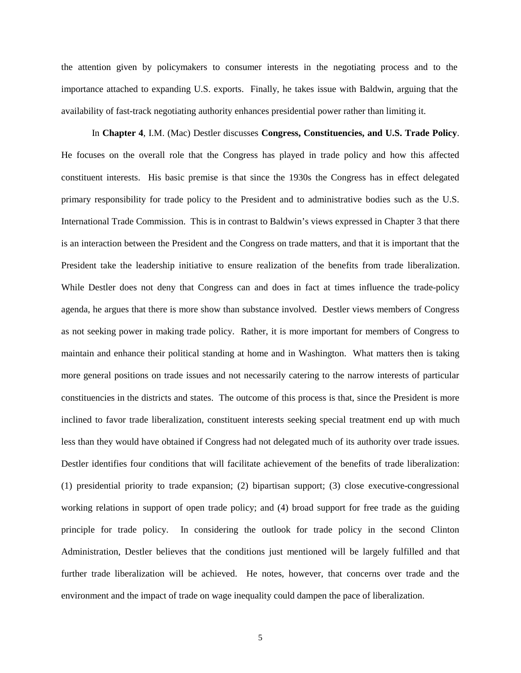the attention given by policymakers to consumer interests in the negotiating process and to the importance attached to expanding U.S. exports. Finally, he takes issue with Baldwin, arguing that the availability of fast-track negotiating authority enhances presidential power rather than limiting it.

In **Chapter 4**, I.M. (Mac) Destler discusses **Congress, Constituencies, and U.S. Trade Policy**. He focuses on the overall role that the Congress has played in trade policy and how this affected constituent interests. His basic premise is that since the 1930s the Congress has in effect delegated primary responsibility for trade policy to the President and to administrative bodies such as the U.S. International Trade Commission. This is in contrast to Baldwin's views expressed in Chapter 3 that there is an interaction between the President and the Congress on trade matters, and that it is important that the President take the leadership initiative to ensure realization of the benefits from trade liberalization. While Destler does not deny that Congress can and does in fact at times influence the trade-policy agenda, he argues that there is more show than substance involved. Destler views members of Congress as not seeking power in making trade policy. Rather, it is more important for members of Congress to maintain and enhance their political standing at home and in Washington. What matters then is taking more general positions on trade issues and not necessarily catering to the narrow interests of particular constituencies in the districts and states. The outcome of this process is that, since the President is more inclined to favor trade liberalization, constituent interests seeking special treatment end up with much less than they would have obtained if Congress had not delegated much of its authority over trade issues. Destler identifies four conditions that will facilitate achievement of the benefits of trade liberalization: (1) presidential priority to trade expansion; (2) bipartisan support; (3) close executive-congressional working relations in support of open trade policy; and (4) broad support for free trade as the guiding principle for trade policy. In considering the outlook for trade policy in the second Clinton Administration, Destler believes that the conditions just mentioned will be largely fulfilled and that further trade liberalization will be achieved. He notes, however, that concerns over trade and the environment and the impact of trade on wage inequality could dampen the pace of liberalization.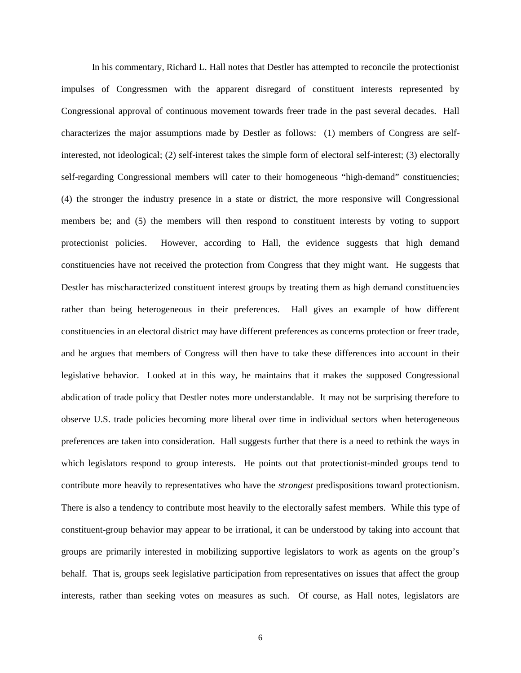In his commentary, Richard L. Hall notes that Destler has attempted to reconcile the protectionist impulses of Congressmen with the apparent disregard of constituent interests represented by Congressional approval of continuous movement towards freer trade in the past several decades. Hall characterizes the major assumptions made by Destler as follows: (1) members of Congress are selfinterested, not ideological; (2) self-interest takes the simple form of electoral self-interest; (3) electorally self-regarding Congressional members will cater to their homogeneous "high-demand" constituencies; (4) the stronger the industry presence in a state or district, the more responsive will Congressional members be; and (5) the members will then respond to constituent interests by voting to support protectionist policies. However, according to Hall, the evidence suggests that high demand constituencies have not received the protection from Congress that they might want. He suggests that Destler has mischaracterized constituent interest groups by treating them as high demand constituencies rather than being heterogeneous in their preferences. Hall gives an example of how different constituencies in an electoral district may have different preferences as concerns protection or freer trade, and he argues that members of Congress will then have to take these differences into account in their legislative behavior. Looked at in this way, he maintains that it makes the supposed Congressional abdication of trade policy that Destler notes more understandable. It may not be surprising therefore to observe U.S. trade policies becoming more liberal over time in individual sectors when heterogeneous preferences are taken into consideration. Hall suggests further that there is a need to rethink the ways in which legislators respond to group interests. He points out that protectionist-minded groups tend to contribute more heavily to representatives who have the *strongest* predispositions toward protectionism. There is also a tendency to contribute most heavily to the electorally safest members. While this type of constituent-group behavior may appear to be irrational, it can be understood by taking into account that groups are primarily interested in mobilizing supportive legislators to work as agents on the group's behalf. That is, groups seek legislative participation from representatives on issues that affect the group interests, rather than seeking votes on measures as such. Of course, as Hall notes, legislators are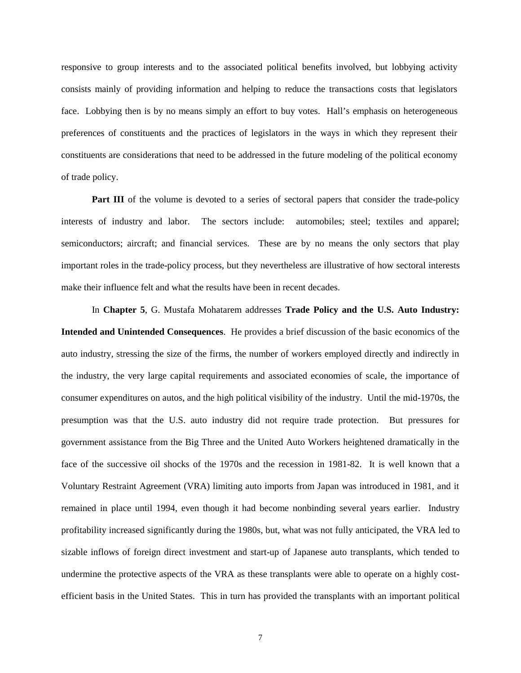responsive to group interests and to the associated political benefits involved, but lobbying activity consists mainly of providing information and helping to reduce the transactions costs that legislators face. Lobbying then is by no means simply an effort to buy votes. Hall's emphasis on heterogeneous preferences of constituents and the practices of legislators in the ways in which they represent their constituents are considerations that need to be addressed in the future modeling of the political economy of trade policy.

**Part III** of the volume is devoted to a series of sectoral papers that consider the trade-policy interests of industry and labor. The sectors include: automobiles; steel; textiles and apparel; semiconductors; aircraft; and financial services. These are by no means the only sectors that play important roles in the trade-policy process, but they nevertheless are illustrative of how sectoral interests make their influence felt and what the results have been in recent decades.

In **Chapter 5**, G. Mustafa Mohatarem addresses **Trade Policy and the U.S. Auto Industry: Intended and Unintended Consequences**. He provides a brief discussion of the basic economics of the auto industry, stressing the size of the firms, the number of workers employed directly and indirectly in the industry, the very large capital requirements and associated economies of scale, the importance of consumer expenditures on autos, and the high political visibility of the industry. Until the mid-1970s, the presumption was that the U.S. auto industry did not require trade protection. But pressures for government assistance from the Big Three and the United Auto Workers heightened dramatically in the face of the successive oil shocks of the 1970s and the recession in 1981-82. It is well known that a Voluntary Restraint Agreement (VRA) limiting auto imports from Japan was introduced in 1981, and it remained in place until 1994, even though it had become nonbinding several years earlier. Industry profitability increased significantly during the 1980s, but, what was not fully anticipated, the VRA led to sizable inflows of foreign direct investment and start-up of Japanese auto transplants, which tended to undermine the protective aspects of the VRA as these transplants were able to operate on a highly costefficient basis in the United States. This in turn has provided the transplants with an important political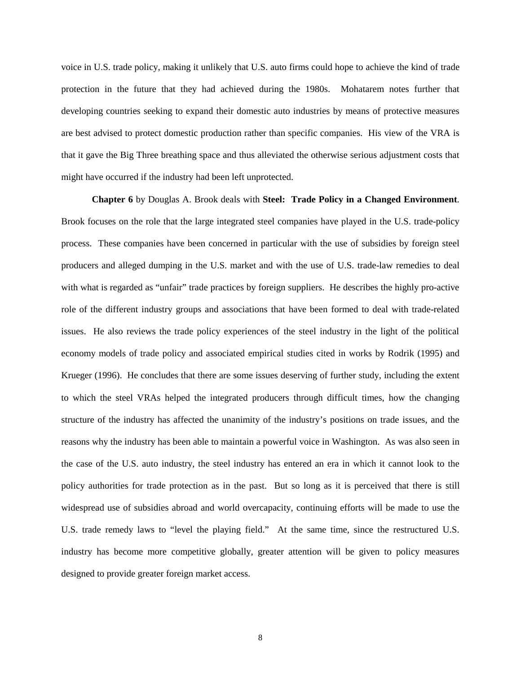voice in U.S. trade policy, making it unlikely that U.S. auto firms could hope to achieve the kind of trade protection in the future that they had achieved during the 1980s. Mohatarem notes further that developing countries seeking to expand their domestic auto industries by means of protective measures are best advised to protect domestic production rather than specific companies. His view of the VRA is that it gave the Big Three breathing space and thus alleviated the otherwise serious adjustment costs that might have occurred if the industry had been left unprotected.

**Chapter 6** by Douglas A. Brook deals with **Steel: Trade Policy in a Changed Environment**. Brook focuses on the role that the large integrated steel companies have played in the U.S. trade-policy process. These companies have been concerned in particular with the use of subsidies by foreign steel producers and alleged dumping in the U.S. market and with the use of U.S. trade-law remedies to deal with what is regarded as "unfair" trade practices by foreign suppliers. He describes the highly pro-active role of the different industry groups and associations that have been formed to deal with trade-related issues. He also reviews the trade policy experiences of the steel industry in the light of the political economy models of trade policy and associated empirical studies cited in works by Rodrik (1995) and Krueger (1996). He concludes that there are some issues deserving of further study, including the extent to which the steel VRAs helped the integrated producers through difficult times, how the changing structure of the industry has affected the unanimity of the industry's positions on trade issues, and the reasons why the industry has been able to maintain a powerful voice in Washington. As was also seen in the case of the U.S. auto industry, the steel industry has entered an era in which it cannot look to the policy authorities for trade protection as in the past. But so long as it is perceived that there is still widespread use of subsidies abroad and world overcapacity, continuing efforts will be made to use the U.S. trade remedy laws to "level the playing field." At the same time, since the restructured U.S. industry has become more competitive globally, greater attention will be given to policy measures designed to provide greater foreign market access.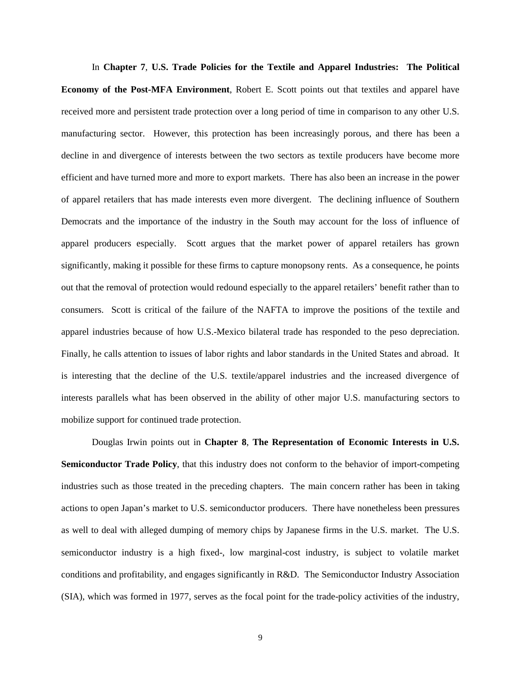In **Chapter 7**, **U.S. Trade Policies for the Textile and Apparel Industries: The Political Economy of the Post-MFA Environment**, Robert E. Scott points out that textiles and apparel have received more and persistent trade protection over a long period of time in comparison to any other U.S. manufacturing sector. However, this protection has been increasingly porous, and there has been a decline in and divergence of interests between the two sectors as textile producers have become more efficient and have turned more and more to export markets. There has also been an increase in the power of apparel retailers that has made interests even more divergent. The declining influence of Southern Democrats and the importance of the industry in the South may account for the loss of influence of apparel producers especially. Scott argues that the market power of apparel retailers has grown significantly, making it possible for these firms to capture monopsony rents. As a consequence, he points out that the removal of protection would redound especially to the apparel retailers' benefit rather than to consumers. Scott is critical of the failure of the NAFTA to improve the positions of the textile and apparel industries because of how U.S.-Mexico bilateral trade has responded to the peso depreciation. Finally, he calls attention to issues of labor rights and labor standards in the United States and abroad. It is interesting that the decline of the U.S. textile/apparel industries and the increased divergence of interests parallels what has been observed in the ability of other major U.S. manufacturing sectors to mobilize support for continued trade protection.

Douglas Irwin points out in **Chapter 8**, **The Representation of Economic Interests in U.S. Semiconductor Trade Policy**, that this industry does not conform to the behavior of import-competing industries such as those treated in the preceding chapters. The main concern rather has been in taking actions to open Japan's market to U.S. semiconductor producers. There have nonetheless been pressures as well to deal with alleged dumping of memory chips by Japanese firms in the U.S. market. The U.S. semiconductor industry is a high fixed-, low marginal-cost industry, is subject to volatile market conditions and profitability, and engages significantly in R&D. The Semiconductor Industry Association (SIA), which was formed in 1977, serves as the focal point for the trade-policy activities of the industry,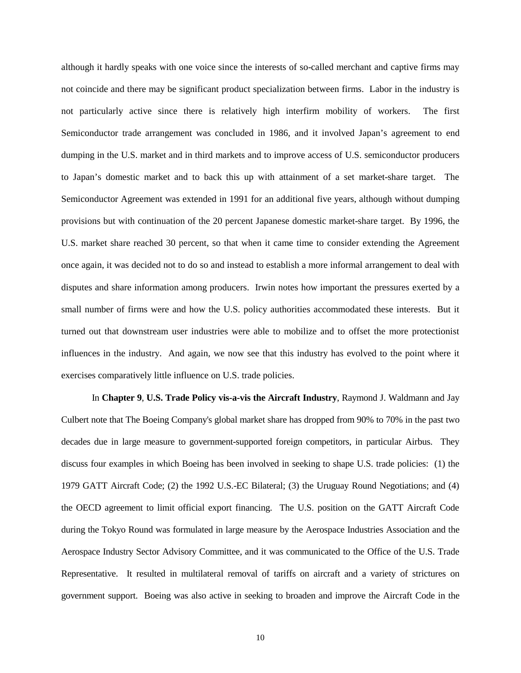although it hardly speaks with one voice since the interests of so-called merchant and captive firms may not coincide and there may be significant product specialization between firms. Labor in the industry is not particularly active since there is relatively high interfirm mobility of workers. The first Semiconductor trade arrangement was concluded in 1986, and it involved Japan's agreement to end dumping in the U.S. market and in third markets and to improve access of U.S. semiconductor producers to Japan's domestic market and to back this up with attainment of a set market-share target. The Semiconductor Agreement was extended in 1991 for an additional five years, although without dumping provisions but with continuation of the 20 percent Japanese domestic market-share target. By 1996, the U.S. market share reached 30 percent, so that when it came time to consider extending the Agreement once again, it was decided not to do so and instead to establish a more informal arrangement to deal with disputes and share information among producers. Irwin notes how important the pressures exerted by a small number of firms were and how the U.S. policy authorities accommodated these interests. But it turned out that downstream user industries were able to mobilize and to offset the more protectionist influences in the industry. And again, we now see that this industry has evolved to the point where it exercises comparatively little influence on U.S. trade policies.

In **Chapter 9**, **U.S. Trade Policy vis-a-vis the Aircraft Industry**, Raymond J. Waldmann and Jay Culbert note that The Boeing Company's global market share has dropped from 90% to 70% in the past two decades due in large measure to government-supported foreign competitors, in particular Airbus. They discuss four examples in which Boeing has been involved in seeking to shape U.S. trade policies: (1) the 1979 GATT Aircraft Code; (2) the 1992 U.S.-EC Bilateral; (3) the Uruguay Round Negotiations; and (4) the OECD agreement to limit official export financing. The U.S. position on the GATT Aircraft Code during the Tokyo Round was formulated in large measure by the Aerospace Industries Association and the Aerospace Industry Sector Advisory Committee, and it was communicated to the Office of the U.S. Trade Representative. It resulted in multilateral removal of tariffs on aircraft and a variety of strictures on government support. Boeing was also active in seeking to broaden and improve the Aircraft Code in the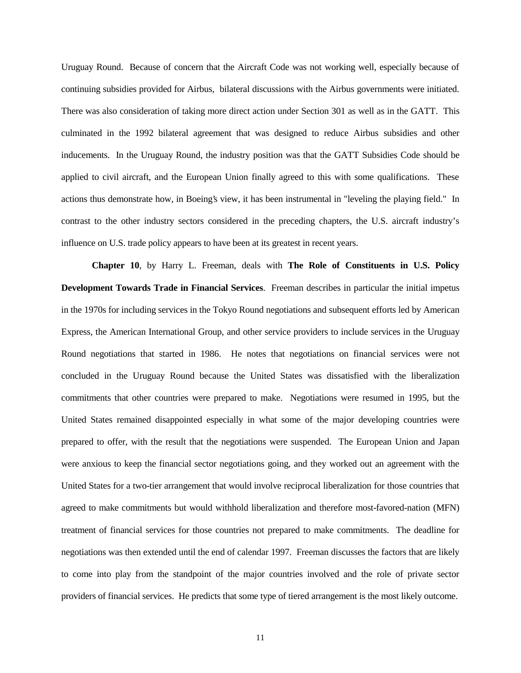Uruguay Round. Because of concern that the Aircraft Code was not working well, especially because of continuing subsidies provided for Airbus, bilateral discussions with the Airbus governments were initiated. There was also consideration of taking more direct action under Section 301 as well as in the GATT. This culminated in the 1992 bilateral agreement that was designed to reduce Airbus subsidies and other inducements. In the Uruguay Round, the industry position was that the GATT Subsidies Code should be applied to civil aircraft, and the European Union finally agreed to this with some qualifications. These actions thus demonstrate how, in Boeing's view, it has been instrumental in "leveling the playing field." In contrast to the other industry sectors considered in the preceding chapters, the U.S. aircraft industry's influence on U.S. trade policy appears to have been at its greatest in recent years.

**Chapter 10**, by Harry L. Freeman, deals with **The Role of Constituents in U.S. Policy Development Towards Trade in Financial Services**. Freeman describes in particular the initial impetus in the 1970s for including services in the Tokyo Round negotiations and subsequent efforts led by American Express, the American International Group, and other service providers to include services in the Uruguay Round negotiations that started in 1986. He notes that negotiations on financial services were not concluded in the Uruguay Round because the United States was dissatisfied with the liberalization commitments that other countries were prepared to make. Negotiations were resumed in 1995, but the United States remained disappointed especially in what some of the major developing countries were prepared to offer, with the result that the negotiations were suspended. The European Union and Japan were anxious to keep the financial sector negotiations going, and they worked out an agreement with the United States for a two-tier arrangement that would involve reciprocal liberalization for those countries that agreed to make commitments but would withhold liberalization and therefore most-favored-nation (MFN) treatment of financial services for those countries not prepared to make commitments. The deadline for negotiations was then extended until the end of calendar 1997. Freeman discusses the factors that are likely to come into play from the standpoint of the major countries involved and the role of private sector providers of financial services. He predicts that some type of tiered arrangement is the most likely outcome.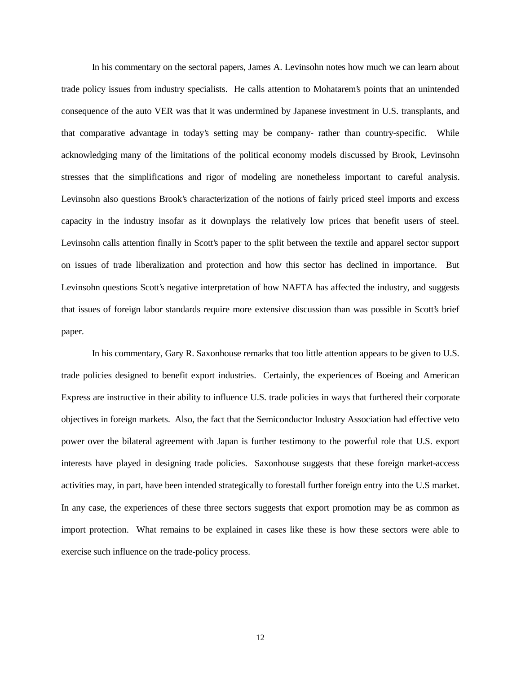In his commentary on the sectoral papers, James A. Levinsohn notes how much we can learn about trade policy issues from industry specialists. He calls attention to Mohatarem's points that an unintended consequence of the auto VER was that it was undermined by Japanese investment in U.S. transplants, and that comparative advantage in today's setting may be company- rather than country-specific. While acknowledging many of the limitations of the political economy models discussed by Brook, Levinsohn stresses that the simplifications and rigor of modeling are nonetheless important to careful analysis. Levinsohn also questions Brook's characterization of the notions of fairly priced steel imports and excess capacity in the industry insofar as it downplays the relatively low prices that benefit users of steel. Levinsohn calls attention finally in Scott's paper to the split between the textile and apparel sector support on issues of trade liberalization and protection and how this sector has declined in importance. But Levinsohn questions Scott's negative interpretation of how NAFTA has affected the industry, and suggests that issues of foreign labor standards require more extensive discussion than was possible in Scott's brief paper.

In his commentary, Gary R. Saxonhouse remarks that too little attention appears to be given to U.S. trade policies designed to benefit export industries. Certainly, the experiences of Boeing and American Express are instructive in their ability to influence U.S. trade policies in ways that furthered their corporate objectives in foreign markets. Also, the fact that the Semiconductor Industry Association had effective veto power over the bilateral agreement with Japan is further testimony to the powerful role that U.S. export interests have played in designing trade policies. Saxonhouse suggests that these foreign market-access activities may, in part, have been intended strategically to forestall further foreign entry into the U.S market. In any case, the experiences of these three sectors suggests that export promotion may be as common as import protection. What remains to be explained in cases like these is how these sectors were able to exercise such influence on the trade-policy process.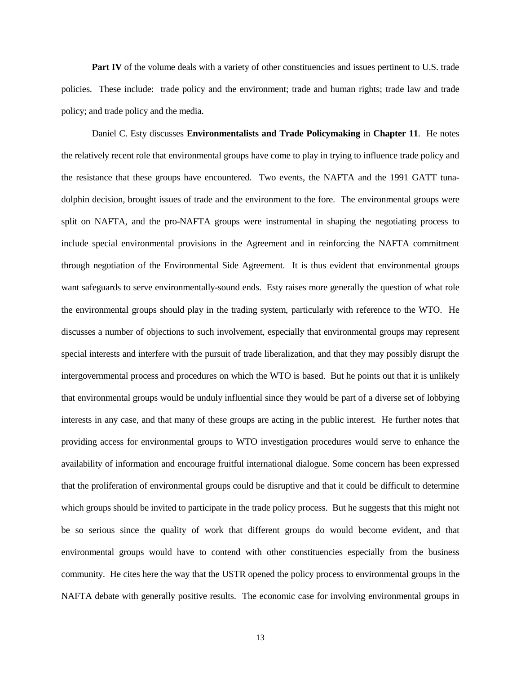**Part IV** of the volume deals with a variety of other constituencies and issues pertinent to U.S. trade policies. These include: trade policy and the environment; trade and human rights; trade law and trade policy; and trade policy and the media.

Daniel C. Esty discusses **Environmentalists and Trade Policymaking** in **Chapter 11**. He notes the relatively recent role that environmental groups have come to play in trying to influence trade policy and the resistance that these groups have encountered. Two events, the NAFTA and the 1991 GATT tunadolphin decision, brought issues of trade and the environment to the fore. The environmental groups were split on NAFTA, and the pro-NAFTA groups were instrumental in shaping the negotiating process to include special environmental provisions in the Agreement and in reinforcing the NAFTA commitment through negotiation of the Environmental Side Agreement. It is thus evident that environmental groups want safeguards to serve environmentally-sound ends. Esty raises more generally the question of what role the environmental groups should play in the trading system, particularly with reference to the WTO. He discusses a number of objections to such involvement, especially that environmental groups may represent special interests and interfere with the pursuit of trade liberalization, and that they may possibly disrupt the intergovernmental process and procedures on which the WTO is based. But he points out that it is unlikely that environmental groups would be unduly influential since they would be part of a diverse set of lobbying interests in any case, and that many of these groups are acting in the public interest. He further notes that providing access for environmental groups to WTO investigation procedures would serve to enhance the availability of information and encourage fruitful international dialogue. Some concern has been expressed that the proliferation of environmental groups could be disruptive and that it could be difficult to determine which groups should be invited to participate in the trade policy process. But he suggests that this might not be so serious since the quality of work that different groups do would become evident, and that environmental groups would have to contend with other constituencies especially from the business community. He cites here the way that the USTR opened the policy process to environmental groups in the NAFTA debate with generally positive results. The economic case for involving environmental groups in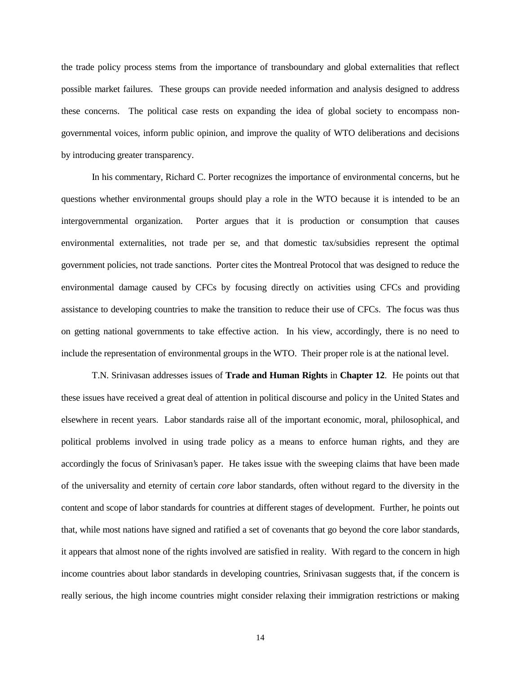the trade policy process stems from the importance of transboundary and global externalities that reflect possible market failures. These groups can provide needed information and analysis designed to address these concerns. The political case rests on expanding the idea of global society to encompass nongovernmental voices, inform public opinion, and improve the quality of WTO deliberations and decisions by introducing greater transparency.

In his commentary, Richard C. Porter recognizes the importance of environmental concerns, but he questions whether environmental groups should play a role in the WTO because it is intended to be an intergovernmental organization. Porter argues that it is production or consumption that causes environmental externalities, not trade per se, and that domestic tax/subsidies represent the optimal government policies, not trade sanctions. Porter cites the Montreal Protocol that was designed to reduce the environmental damage caused by CFCs by focusing directly on activities using CFCs and providing assistance to developing countries to make the transition to reduce their use of CFCs. The focus was thus on getting national governments to take effective action. In his view, accordingly, there is no need to include the representation of environmental groups in the WTO. Their proper role is at the national level.

T.N. Srinivasan addresses issues of **Trade and Human Rights** in **Chapter 12**. He points out that these issues have received a great deal of attention in political discourse and policy in the United States and elsewhere in recent years. Labor standards raise all of the important economic, moral, philosophical, and political problems involved in using trade policy as a means to enforce human rights, and they are accordingly the focus of Srinivasan's paper. He takes issue with the sweeping claims that have been made of the universality and eternity of certain *core* labor standards, often without regard to the diversity in the content and scope of labor standards for countries at different stages of development. Further, he points out that, while most nations have signed and ratified a set of covenants that go beyond the core labor standards, it appears that almost none of the rights involved are satisfied in reality. With regard to the concern in high income countries about labor standards in developing countries, Srinivasan suggests that, if the concern is really serious, the high income countries might consider relaxing their immigration restrictions or making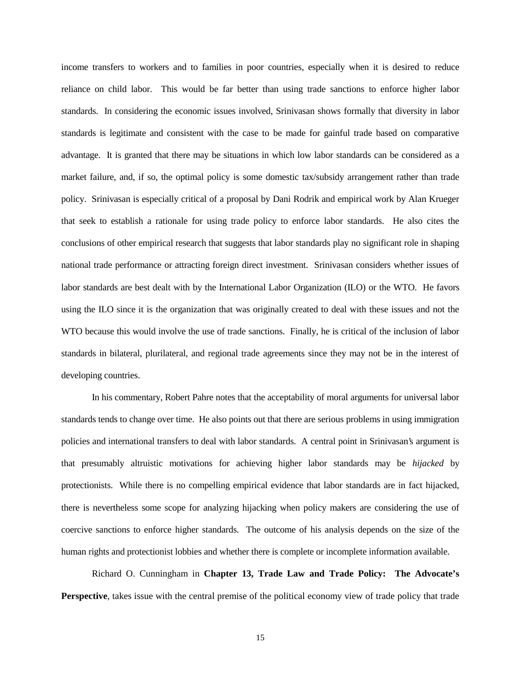income transfers to workers and to families in poor countries, especially when it is desired to reduce reliance on child labor. This would be far better than using trade sanctions to enforce higher labor standards. In considering the economic issues involved, Srinivasan shows formally that diversity in labor standards is legitimate and consistent with the case to be made for gainful trade based on comparative advantage. It is granted that there may be situations in which low labor standards can be considered as a market failure, and, if so, the optimal policy is some domestic tax/subsidy arrangement rather than trade policy. Srinivasan is especially critical of a proposal by Dani Rodrik and empirical work by Alan Krueger that seek to establish a rationale for using trade policy to enforce labor standards. He also cites the conclusions of other empirical research that suggests that labor standards play no significant role in shaping national trade performance or attracting foreign direct investment. Srinivasan considers whether issues of labor standards are best dealt with by the International Labor Organization (ILO) or the WTO. He favors using the ILO since it is the organization that was originally created to deal with these issues and not the WTO because this would involve the use of trade sanctions. Finally, he is critical of the inclusion of labor standards in bilateral, plurilateral, and regional trade agreements since they may not be in the interest of developing countries.

In his commentary, Robert Pahre notes that the acceptability of moral arguments for universal labor standards tends to change over time. He also points out that there are serious problems in using immigration policies and international transfers to deal with labor standards. A central point in Srinivasan's argument is that presumably altruistic motivations for achieving higher labor standards may be *hijacked* by protectionists. While there is no compelling empirical evidence that labor standards are in fact hijacked, there is nevertheless some scope for analyzing hijacking when policy makers are considering the use of coercive sanctions to enforce higher standards. The outcome of his analysis depends on the size of the human rights and protectionist lobbies and whether there is complete or incomplete information available.

Richard O. Cunningham in **Chapter 13, Trade Law and Trade Policy: The Advocate's Perspective**, takes issue with the central premise of the political economy view of trade policy that trade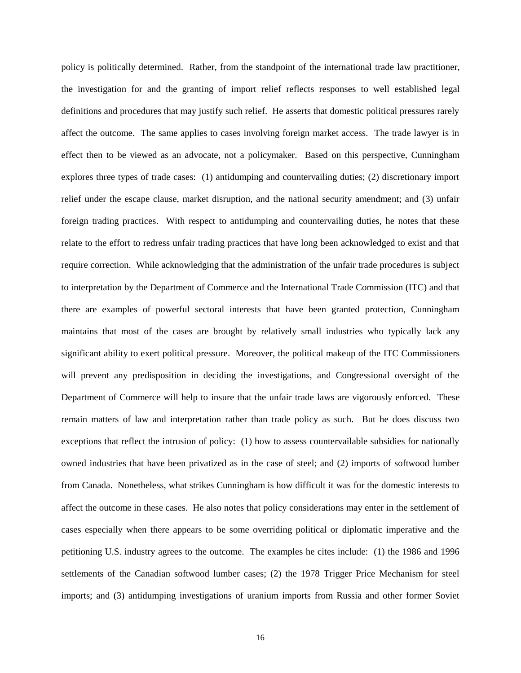policy is politically determined. Rather, from the standpoint of the international trade law practitioner, the investigation for and the granting of import relief reflects responses to well established legal definitions and procedures that may justify such relief. He asserts that domestic political pressures rarely affect the outcome. The same applies to cases involving foreign market access. The trade lawyer is in effect then to be viewed as an advocate, not a policymaker. Based on this perspective, Cunningham explores three types of trade cases: (1) antidumping and countervailing duties; (2) discretionary import relief under the escape clause, market disruption, and the national security amendment; and (3) unfair foreign trading practices. With respect to antidumping and countervailing duties, he notes that these relate to the effort to redress unfair trading practices that have long been acknowledged to exist and that require correction. While acknowledging that the administration of the unfair trade procedures is subject to interpretation by the Department of Commerce and the International Trade Commission (ITC) and that there are examples of powerful sectoral interests that have been granted protection, Cunningham maintains that most of the cases are brought by relatively small industries who typically lack any significant ability to exert political pressure. Moreover, the political makeup of the ITC Commissioners will prevent any predisposition in deciding the investigations, and Congressional oversight of the Department of Commerce will help to insure that the unfair trade laws are vigorously enforced. These remain matters of law and interpretation rather than trade policy as such. But he does discuss two exceptions that reflect the intrusion of policy: (1) how to assess countervailable subsidies for nationally owned industries that have been privatized as in the case of steel; and (2) imports of softwood lumber from Canada. Nonetheless, what strikes Cunningham is how difficult it was for the domestic interests to affect the outcome in these cases. He also notes that policy considerations may enter in the settlement of cases especially when there appears to be some overriding political or diplomatic imperative and the petitioning U.S. industry agrees to the outcome. The examples he cites include: (1) the 1986 and 1996 settlements of the Canadian softwood lumber cases; (2) the 1978 Trigger Price Mechanism for steel imports; and (3) antidumping investigations of uranium imports from Russia and other former Soviet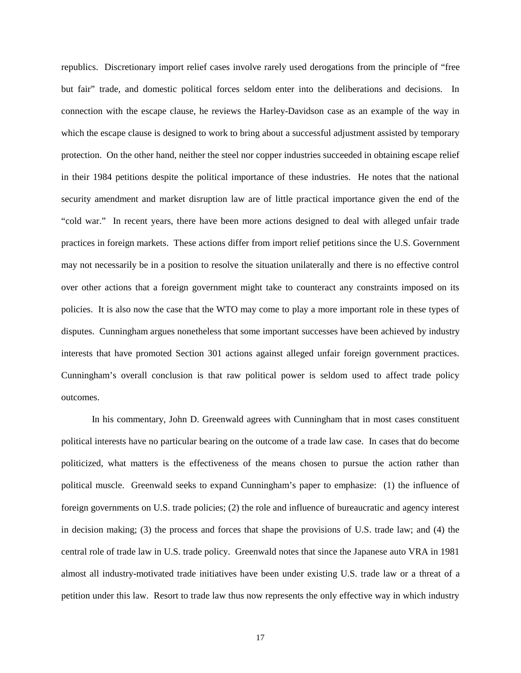republics. Discretionary import relief cases involve rarely used derogations from the principle of "free but fair" trade, and domestic political forces seldom enter into the deliberations and decisions. In connection with the escape clause, he reviews the Harley-Davidson case as an example of the way in which the escape clause is designed to work to bring about a successful adjustment assisted by temporary protection. On the other hand, neither the steel nor copper industries succeeded in obtaining escape relief in their 1984 petitions despite the political importance of these industries. He notes that the national security amendment and market disruption law are of little practical importance given the end of the "cold war." In recent years, there have been more actions designed to deal with alleged unfair trade practices in foreign markets. These actions differ from import relief petitions since the U.S. Government may not necessarily be in a position to resolve the situation unilaterally and there is no effective control over other actions that a foreign government might take to counteract any constraints imposed on its policies. It is also now the case that the WTO may come to play a more important role in these types of disputes. Cunningham argues nonetheless that some important successes have been achieved by industry interests that have promoted Section 301 actions against alleged unfair foreign government practices. Cunningham's overall conclusion is that raw political power is seldom used to affect trade policy outcomes.

In his commentary, John D. Greenwald agrees with Cunningham that in most cases constituent political interests have no particular bearing on the outcome of a trade law case. In cases that do become politicized, what matters is the effectiveness of the means chosen to pursue the action rather than political muscle. Greenwald seeks to expand Cunningham's paper to emphasize: (1) the influence of foreign governments on U.S. trade policies; (2) the role and influence of bureaucratic and agency interest in decision making; (3) the process and forces that shape the provisions of U.S. trade law; and (4) the central role of trade law in U.S. trade policy. Greenwald notes that since the Japanese auto VRA in 1981 almost all industry-motivated trade initiatives have been under existing U.S. trade law or a threat of a petition under this law. Resort to trade law thus now represents the only effective way in which industry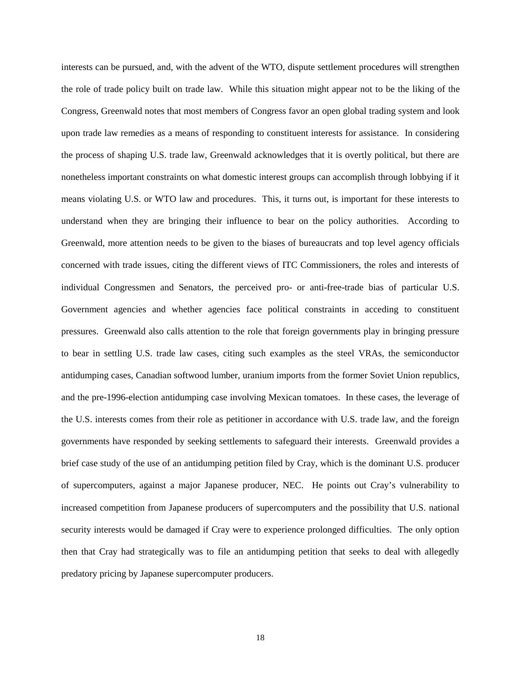interests can be pursued, and, with the advent of the WTO, dispute settlement procedures will strengthen the role of trade policy built on trade law. While this situation might appear not to be the liking of the Congress, Greenwald notes that most members of Congress favor an open global trading system and look upon trade law remedies as a means of responding to constituent interests for assistance. In considering the process of shaping U.S. trade law, Greenwald acknowledges that it is overtly political, but there are nonetheless important constraints on what domestic interest groups can accomplish through lobbying if it means violating U.S. or WTO law and procedures. This, it turns out, is important for these interests to understand when they are bringing their influence to bear on the policy authorities. According to Greenwald, more attention needs to be given to the biases of bureaucrats and top level agency officials concerned with trade issues, citing the different views of ITC Commissioners, the roles and interests of individual Congressmen and Senators, the perceived pro- or anti-free-trade bias of particular U.S. Government agencies and whether agencies face political constraints in acceding to constituent pressures. Greenwald also calls attention to the role that foreign governments play in bringing pressure to bear in settling U.S. trade law cases, citing such examples as the steel VRAs, the semiconductor antidumping cases, Canadian softwood lumber, uranium imports from the former Soviet Union republics, and the pre-1996-election antidumping case involving Mexican tomatoes. In these cases, the leverage of the U.S. interests comes from their role as petitioner in accordance with U.S. trade law, and the foreign governments have responded by seeking settlements to safeguard their interests. Greenwald provides a brief case study of the use of an antidumping petition filed by Cray, which is the dominant U.S. producer of supercomputers, against a major Japanese producer, NEC. He points out Cray's vulnerability to increased competition from Japanese producers of supercomputers and the possibility that U.S. national security interests would be damaged if Cray were to experience prolonged difficulties. The only option then that Cray had strategically was to file an antidumping petition that seeks to deal with allegedly predatory pricing by Japanese supercomputer producers.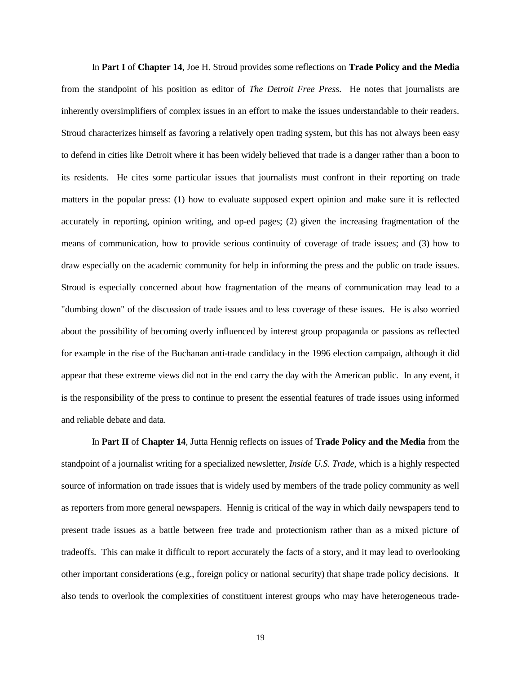In **Part I** of **Chapter 14**, Joe H. Stroud provides some reflections on **Trade Policy and the Media** from the standpoint of his position as editor of *The Detroit Free Press*. He notes that journalists are inherently oversimplifiers of complex issues in an effort to make the issues understandable to their readers. Stroud characterizes himself as favoring a relatively open trading system, but this has not always been easy to defend in cities like Detroit where it has been widely believed that trade is a danger rather than a boon to its residents. He cites some particular issues that journalists must confront in their reporting on trade matters in the popular press: (1) how to evaluate supposed expert opinion and make sure it is reflected accurately in reporting, opinion writing, and op-ed pages; (2) given the increasing fragmentation of the means of communication, how to provide serious continuity of coverage of trade issues; and (3) how to draw especially on the academic community for help in informing the press and the public on trade issues. Stroud is especially concerned about how fragmentation of the means of communication may lead to a "dumbing down" of the discussion of trade issues and to less coverage of these issues. He is also worried about the possibility of becoming overly influenced by interest group propaganda or passions as reflected for example in the rise of the Buchanan anti-trade candidacy in the 1996 election campaign, although it did appear that these extreme views did not in the end carry the day with the American public. In any event, it is the responsibility of the press to continue to present the essential features of trade issues using informed and reliable debate and data.

In **Part II** of **Chapter 14**, Jutta Hennig reflects on issues of **Trade Policy and the Media** from the standpoint of a journalist writing for a specialized newsletter, *Inside U.S. Trade*, which is a highly respected source of information on trade issues that is widely used by members of the trade policy community as well as reporters from more general newspapers. Hennig is critical of the way in which daily newspapers tend to present trade issues as a battle between free trade and protectionism rather than as a mixed picture of tradeoffs. This can make it difficult to report accurately the facts of a story, and it may lead to overlooking other important considerations (e.g., foreign policy or national security) that shape trade policy decisions. It also tends to overlook the complexities of constituent interest groups who may have heterogeneous trade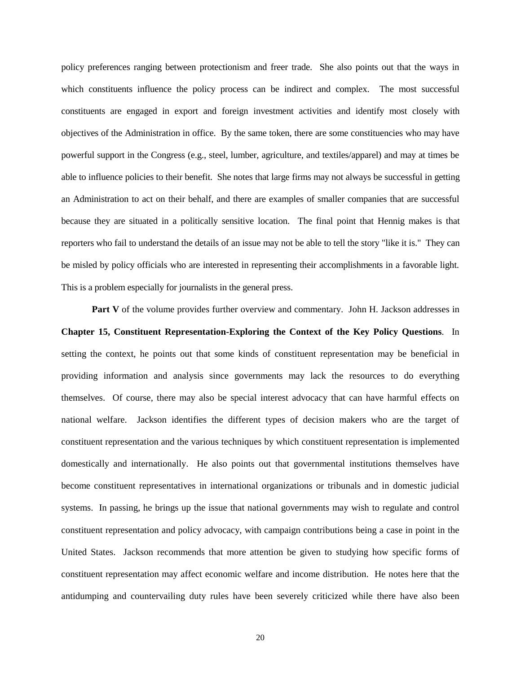policy preferences ranging between protectionism and freer trade. She also points out that the ways in which constituents influence the policy process can be indirect and complex. The most successful constituents are engaged in export and foreign investment activities and identify most closely with objectives of the Administration in office. By the same token, there are some constituencies who may have powerful support in the Congress (e.g., steel, lumber, agriculture, and textiles/apparel) and may at times be able to influence policies to their benefit. She notes that large firms may not always be successful in getting an Administration to act on their behalf, and there are examples of smaller companies that are successful because they are situated in a politically sensitive location. The final point that Hennig makes is that reporters who fail to understand the details of an issue may not be able to tell the story "like it is." They can be misled by policy officials who are interested in representing their accomplishments in a favorable light. This is a problem especially for journalists in the general press.

**Part V** of the volume provides further overview and commentary. John H. Jackson addresses in **Chapter 15, Constituent Representation-Exploring the Context of the Key Policy Questions**. In setting the context, he points out that some kinds of constituent representation may be beneficial in providing information and analysis since governments may lack the resources to do everything themselves. Of course, there may also be special interest advocacy that can have harmful effects on national welfare. Jackson identifies the different types of decision makers who are the target of constituent representation and the various techniques by which constituent representation is implemented domestically and internationally. He also points out that governmental institutions themselves have become constituent representatives in international organizations or tribunals and in domestic judicial systems. In passing, he brings up the issue that national governments may wish to regulate and control constituent representation and policy advocacy, with campaign contributions being a case in point in the United States. Jackson recommends that more attention be given to studying how specific forms of constituent representation may affect economic welfare and income distribution. He notes here that the antidumping and countervailing duty rules have been severely criticized while there have also been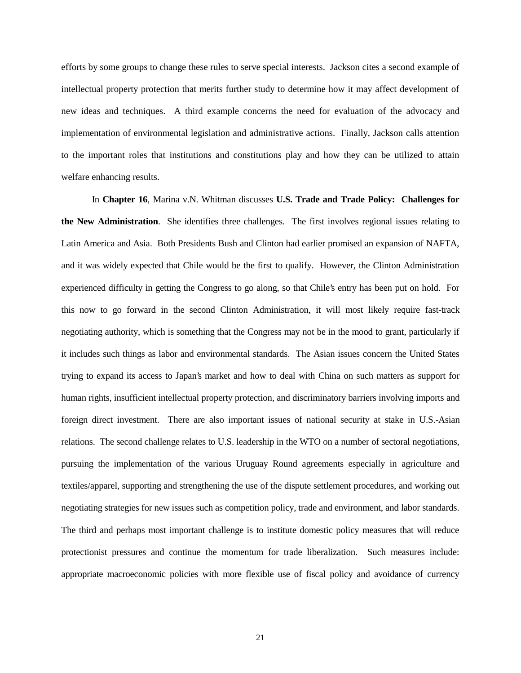efforts by some groups to change these rules to serve special interests. Jackson cites a second example of intellectual property protection that merits further study to determine how it may affect development of new ideas and techniques. A third example concerns the need for evaluation of the advocacy and implementation of environmental legislation and administrative actions. Finally, Jackson calls attention to the important roles that institutions and constitutions play and how they can be utilized to attain welfare enhancing results.

In **Chapter 16**, Marina v.N. Whitman discusses **U.S. Trade and Trade Policy: Challenges for the New Administration**. She identifies three challenges. The first involves regional issues relating to Latin America and Asia. Both Presidents Bush and Clinton had earlier promised an expansion of NAFTA, and it was widely expected that Chile would be the first to qualify. However, the Clinton Administration experienced difficulty in getting the Congress to go along, so that Chile's entry has been put on hold. For this now to go forward in the second Clinton Administration, it will most likely require fast-track negotiating authority, which is something that the Congress may not be in the mood to grant, particularly if it includes such things as labor and environmental standards. The Asian issues concern the United States trying to expand its access to Japan's market and how to deal with China on such matters as support for human rights, insufficient intellectual property protection, and discriminatory barriers involving imports and foreign direct investment. There are also important issues of national security at stake in U.S.-Asian relations. The second challenge relates to U.S. leadership in the WTO on a number of sectoral negotiations, pursuing the implementation of the various Uruguay Round agreements especially in agriculture and textiles/apparel, supporting and strengthening the use of the dispute settlement procedures, and working out negotiating strategies for new issues such as competition policy, trade and environment, and labor standards. The third and perhaps most important challenge is to institute domestic policy measures that will reduce protectionist pressures and continue the momentum for trade liberalization. Such measures include: appropriate macroeconomic policies with more flexible use of fiscal policy and avoidance of currency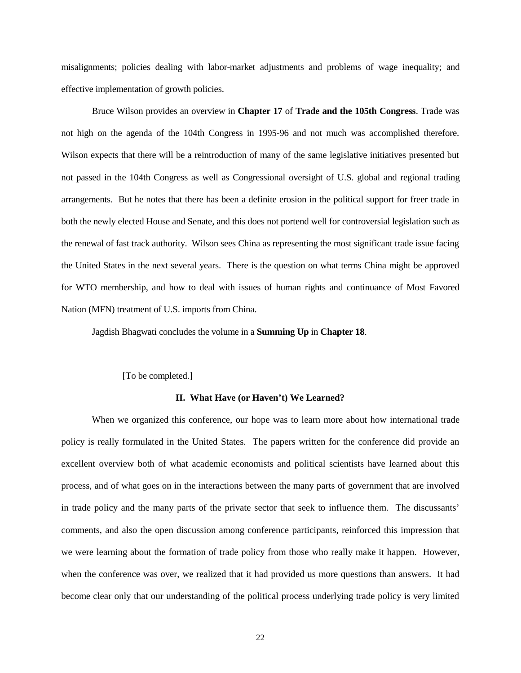misalignments; policies dealing with labor-market adjustments and problems of wage inequality; and effective implementation of growth policies.

Bruce Wilson provides an overview in **Chapter 17** of **Trade and the 105th Congress**. Trade was not high on the agenda of the 104th Congress in 1995-96 and not much was accomplished therefore. Wilson expects that there will be a reintroduction of many of the same legislative initiatives presented but not passed in the 104th Congress as well as Congressional oversight of U.S. global and regional trading arrangements. But he notes that there has been a definite erosion in the political support for freer trade in both the newly elected House and Senate, and this does not portend well for controversial legislation such as the renewal of fast track authority. Wilson sees China as representing the most significant trade issue facing the United States in the next several years. There is the question on what terms China might be approved for WTO membership, and how to deal with issues of human rights and continuance of Most Favored Nation (MFN) treatment of U.S. imports from China.

Jagdish Bhagwati concludes the volume in a **Summing Up** in **Chapter 18**.

[To be completed.]

#### **II. What Have (or Haven't) We Learned?**

When we organized this conference, our hope was to learn more about how international trade policy is really formulated in the United States. The papers written for the conference did provide an excellent overview both of what academic economists and political scientists have learned about this process, and of what goes on in the interactions between the many parts of government that are involved in trade policy and the many parts of the private sector that seek to influence them. The discussants' comments, and also the open discussion among conference participants, reinforced this impression that we were learning about the formation of trade policy from those who really make it happen. However, when the conference was over, we realized that it had provided us more questions than answers. It had become clear only that our understanding of the political process underlying trade policy is very limited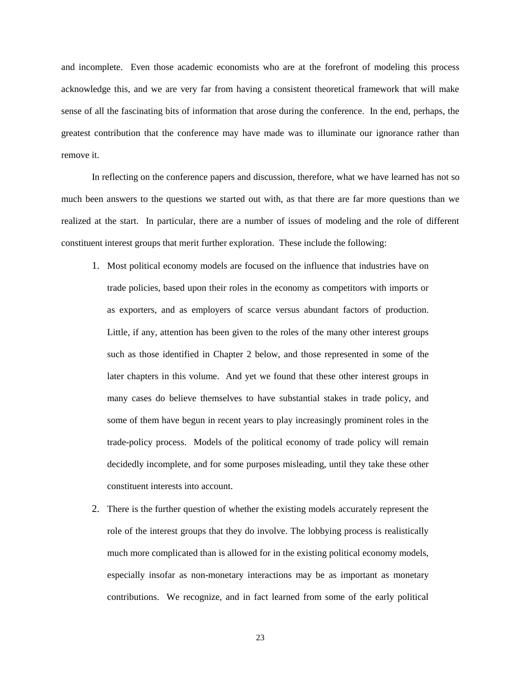and incomplete. Even those academic economists who are at the forefront of modeling this process acknowledge this, and we are very far from having a consistent theoretical framework that will make sense of all the fascinating bits of information that arose during the conference. In the end, perhaps, the greatest contribution that the conference may have made was to illuminate our ignorance rather than remove it.

In reflecting on the conference papers and discussion, therefore, what we have learned has not so much been answers to the questions we started out with, as that there are far more questions than we realized at the start. In particular, there are a number of issues of modeling and the role of different constituent interest groups that merit further exploration. These include the following:

- 1. Most political economy models are focused on the influence that industries have on trade policies, based upon their roles in the economy as competitors with imports or as exporters, and as employers of scarce versus abundant factors of production. Little, if any, attention has been given to the roles of the many other interest groups such as those identified in Chapter 2 below, and those represented in some of the later chapters in this volume. And yet we found that these other interest groups in many cases do believe themselves to have substantial stakes in trade policy, and some of them have begun in recent years to play increasingly prominent roles in the trade-policy process. Models of the political economy of trade policy will remain decidedly incomplete, and for some purposes misleading, until they take these other constituent interests into account.
- 2. There is the further question of whether the existing models accurately represent the role of the interest groups that they do involve. The lobbying process is realistically much more complicated than is allowed for in the existing political economy models, especially insofar as non-monetary interactions may be as important as monetary contributions. We recognize, and in fact learned from some of the early political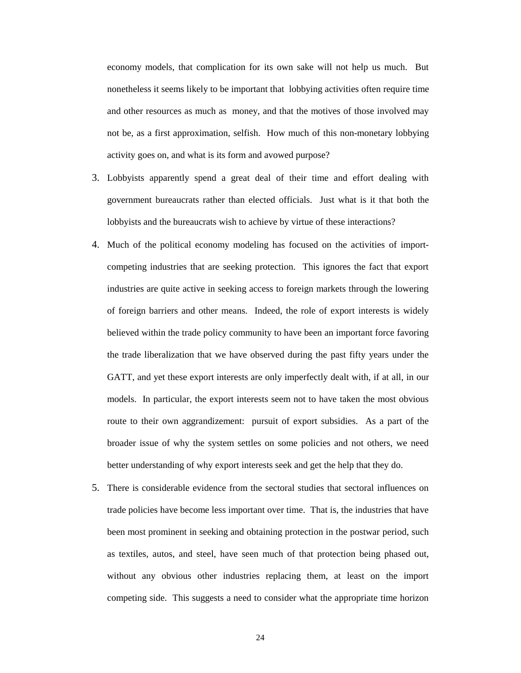economy models, that complication for its own sake will not help us much. But nonetheless it seems likely to be important that lobbying activities often require time and other resources as much as money, and that the motives of those involved may not be, as a first approximation, selfish. How much of this non-monetary lobbying activity goes on, and what is its form and avowed purpose?

- 3. Lobbyists apparently spend a great deal of their time and effort dealing with government bureaucrats rather than elected officials. Just what is it that both the lobbyists and the bureaucrats wish to achieve by virtue of these interactions?
- 4. Much of the political economy modeling has focused on the activities of importcompeting industries that are seeking protection. This ignores the fact that export industries are quite active in seeking access to foreign markets through the lowering of foreign barriers and other means. Indeed, the role of export interests is widely believed within the trade policy community to have been an important force favoring the trade liberalization that we have observed during the past fifty years under the GATT, and yet these export interests are only imperfectly dealt with, if at all, in our models. In particular, the export interests seem not to have taken the most obvious route to their own aggrandizement: pursuit of export subsidies. As a part of the broader issue of why the system settles on some policies and not others, we need better understanding of why export interests seek and get the help that they do.
- 5. There is considerable evidence from the sectoral studies that sectoral influences on trade policies have become less important over time. That is, the industries that have been most prominent in seeking and obtaining protection in the postwar period, such as textiles, autos, and steel, have seen much of that protection being phased out, without any obvious other industries replacing them, at least on the import competing side. This suggests a need to consider what the appropriate time horizon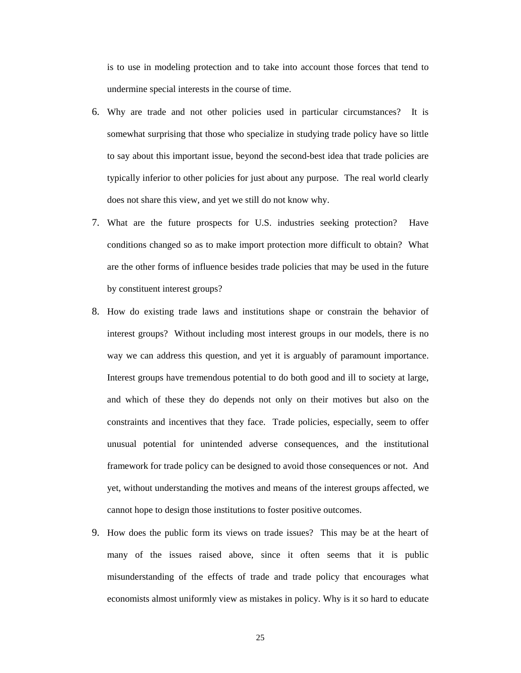is to use in modeling protection and to take into account those forces that tend to undermine special interests in the course of time.

- 6. Why are trade and not other policies used in particular circumstances? It is somewhat surprising that those who specialize in studying trade policy have so little to say about this important issue, beyond the second-best idea that trade policies are typically inferior to other policies for just about any purpose. The real world clearly does not share this view, and yet we still do not know why.
- 7. What are the future prospects for U.S. industries seeking protection? Have conditions changed so as to make import protection more difficult to obtain? What are the other forms of influence besides trade policies that may be used in the future by constituent interest groups?
- 8. How do existing trade laws and institutions shape or constrain the behavior of interest groups? Without including most interest groups in our models, there is no way we can address this question, and yet it is arguably of paramount importance. Interest groups have tremendous potential to do both good and ill to society at large, and which of these they do depends not only on their motives but also on the constraints and incentives that they face. Trade policies, especially, seem to offer unusual potential for unintended adverse consequences, and the institutional framework for trade policy can be designed to avoid those consequences or not. And yet, without understanding the motives and means of the interest groups affected, we cannot hope to design those institutions to foster positive outcomes.
- 9. How does the public form its views on trade issues? This may be at the heart of many of the issues raised above, since it often seems that it is public misunderstanding of the effects of trade and trade policy that encourages what economists almost uniformly view as mistakes in policy. Why is it so hard to educate